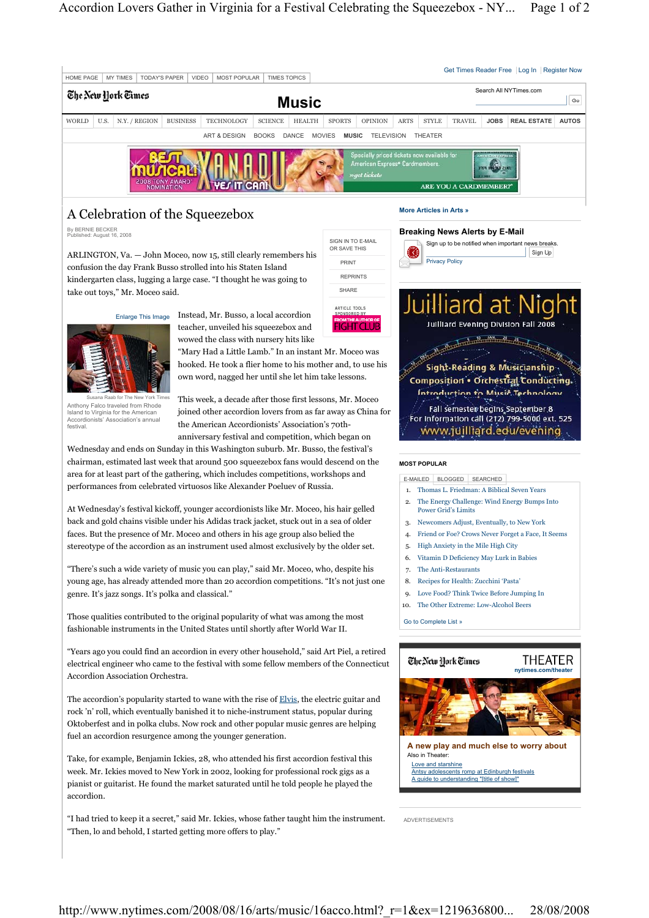

The accordion's popularity started to wane with the rise of Elvis, the electric guitar and rock 'n' roll, which eventually banished it to niche-instrument status, popular during Oktoberfest and in polka clubs. Now rock and other popular music genres are helping fuel an accordion resurgence among the younger generation.

Take, for example, Benjamin Ickies, 28, who attended his first accordion festival this week. Mr. Ickies moved to New York in 2002, looking for professional rock gigs as a pianist or guitarist. He found the market saturated until he told people he played the accordion.

"I had tried to keep it a secret," said Mr. Ickies, whose father taught him the instrument. "Then, lo and behold, I started getting more offers to play."

**A new play and much else to worry about** Also in Theater: Love and starshine Antsy adolescents romp at Edinburgh festivals A guide to understanding "[title of show]"

ADVERTISEMENTS